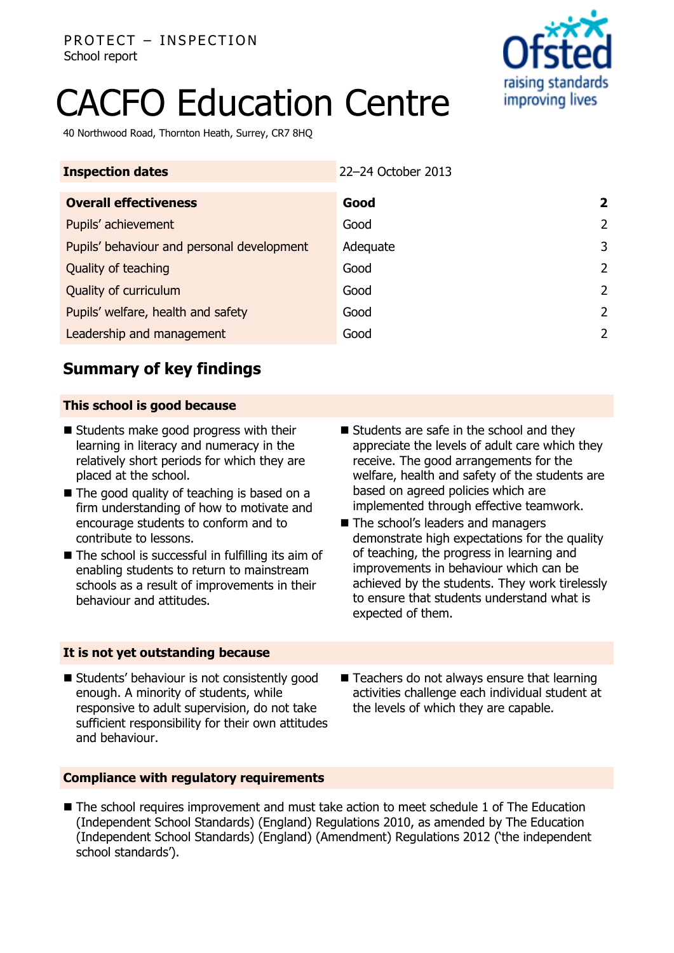

# CACFO Education Centre

40 Northwood Road, Thornton Heath, Surrey, CR7 8HQ

| <b>Inspection dates</b>                    | 22-24 October 2013 |                         |
|--------------------------------------------|--------------------|-------------------------|
| <b>Overall effectiveness</b>               | Good               | $\overline{\mathbf{2}}$ |
| Pupils' achievement                        | Good               | $\overline{2}$          |
| Pupils' behaviour and personal development | Adequate           | 3                       |
| Quality of teaching                        | Good               | $\overline{2}$          |
| Quality of curriculum                      | Good               | 2                       |
| Pupils' welfare, health and safety         | Good               | 2                       |
| Leadership and management                  | Good               | 2                       |

# **Summary of key findings**

## **This school is good because**

- Students make good progress with their learning in literacy and numeracy in the relatively short periods for which they are placed at the school.
- The good quality of teaching is based on a firm understanding of how to motivate and encourage students to conform and to contribute to lessons.
- $\blacksquare$  The school is successful in fulfilling its aim of enabling students to return to mainstream schools as a result of improvements in their behaviour and attitudes.
- Students are safe in the school and they appreciate the levels of adult care which they receive. The good arrangements for the welfare, health and safety of the students are based on agreed policies which are implemented through effective teamwork.
- The school's leaders and managers demonstrate high expectations for the quality of teaching, the progress in learning and improvements in behaviour which can be achieved by the students. They work tirelessly to ensure that students understand what is expected of them.

## **It is not yet outstanding because**

- **Students' behaviour is not consistently good** enough. A minority of students, while responsive to adult supervision, do not take sufficient responsibility for their own attitudes and behaviour.
- $\blacksquare$  Teachers do not always ensure that learning activities challenge each individual student at the levels of which they are capable.

## **Compliance with regulatory requirements**

■ The school requires improvement and must take action to meet schedule 1 of The Education (Independent School Standards) (England) Regulations 2010, as amended by The Education (Independent School Standards) (England) (Amendment) Regulations 2012 ('the independent school standards').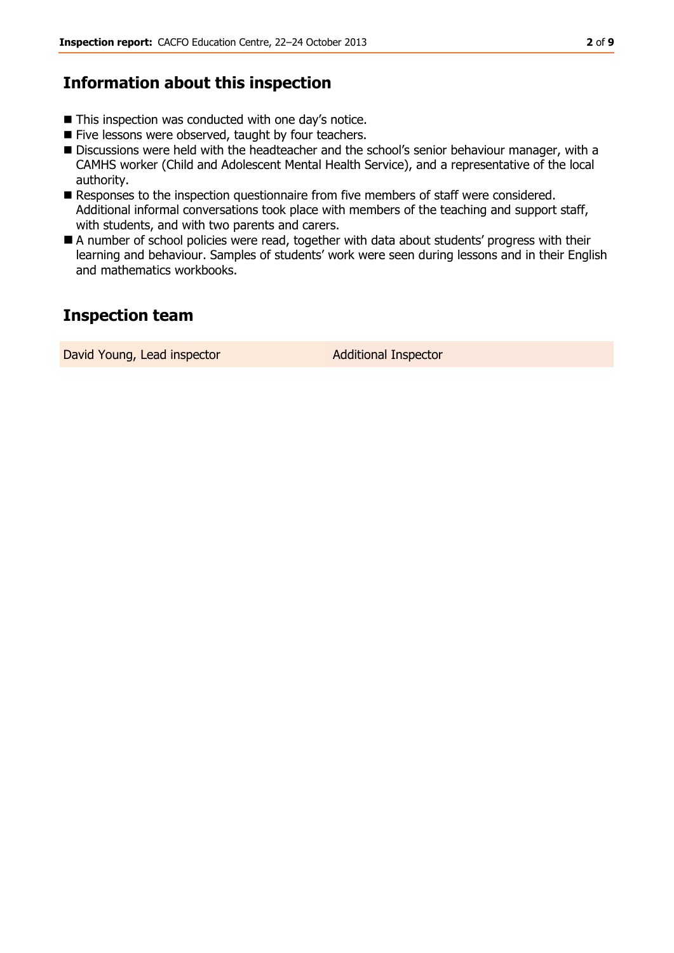## **Information about this inspection**

- This inspection was conducted with one day's notice.
- Five lessons were observed, taught by four teachers.
- Discussions were held with the headteacher and the school's senior behaviour manager, with a CAMHS worker (Child and Adolescent Mental Health Service), and a representative of the local authority.
- Responses to the inspection questionnaire from five members of staff were considered. Additional informal conversations took place with members of the teaching and support staff, with students, and with two parents and carers.
- A number of school policies were read, together with data about students' progress with their learning and behaviour. Samples of students' work were seen during lessons and in their English and mathematics workbooks.

# **Inspection team**

David Young, Lead inspector and Additional Inspector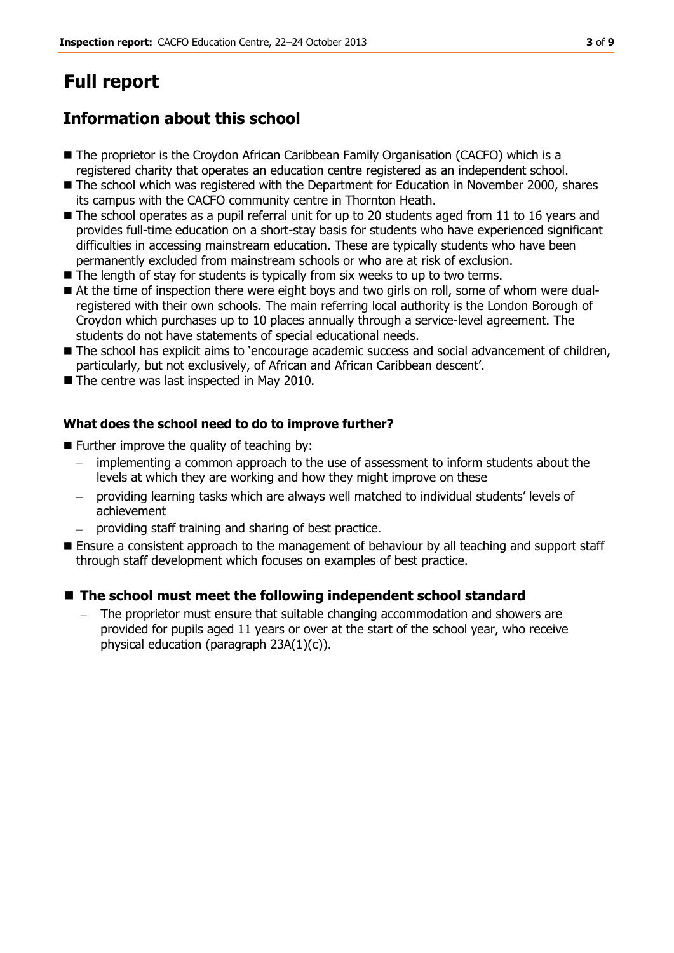# **Full report**

# **Information about this school**

- The proprietor is the Croydon African Caribbean Family Organisation (CACFO) which is a registered charity that operates an education centre registered as an independent school.
- The school which was registered with the Department for Education in November 2000, shares its campus with the CACFO community centre in Thornton Heath.
- The school operates as a pupil referral unit for up to 20 students aged from 11 to 16 years and provides full-time education on a short-stay basis for students who have experienced significant difficulties in accessing mainstream education. These are typically students who have been permanently excluded from mainstream schools or who are at risk of exclusion.
- The length of stay for students is typically from six weeks to up to two terms.
- At the time of inspection there were eight boys and two girls on roll, some of whom were dualregistered with their own schools. The main referring local authority is the London Borough of Croydon which purchases up to 10 places annually through a service-level agreement. The students do not have statements of special educational needs.
- **The school has explicit aims to 'encourage academic success and social advancement of children,** particularly, but not exclusively, of African and African Caribbean descent'.
- The centre was last inspected in May 2010.

## **What does the school need to do to improve further?**

- $\blacksquare$  Further improve the quality of teaching by:
	- $\equiv$ implementing a common approach to the use of assessment to inform students about the levels at which they are working and how they might improve on these
	- providing learning tasks which are always well matched to individual students' levels of achievement
	- providing staff training and sharing of best practice.
- **E** Ensure a consistent approach to the management of behaviour by all teaching and support staff through staff development which focuses on examples of best practice.

## **The school must meet the following independent school standard**

The proprietor must ensure that suitable changing accommodation and showers are provided for pupils aged 11 years or over at the start of the school year, who receive physical education (paragraph 23A(1)(c)).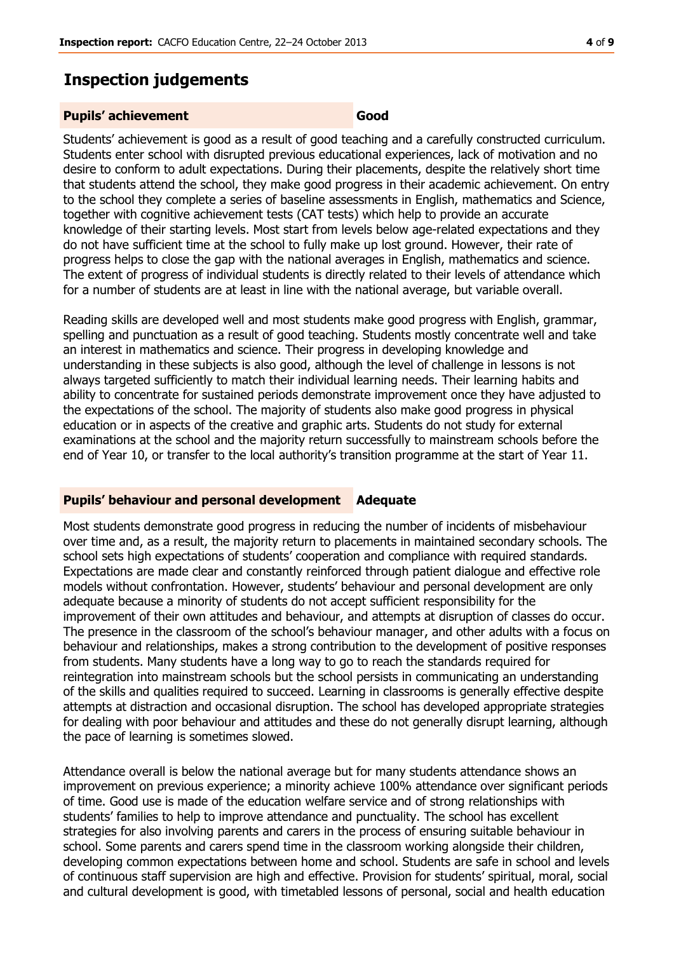## **Inspection judgements**

#### **Pupils' achievement Good**

Students' achievement is good as a result of good teaching and a carefully constructed curriculum. Students enter school with disrupted previous educational experiences, lack of motivation and no desire to conform to adult expectations. During their placements, despite the relatively short time that students attend the school, they make good progress in their academic achievement. On entry to the school they complete a series of baseline assessments in English, mathematics and Science, together with cognitive achievement tests (CAT tests) which help to provide an accurate knowledge of their starting levels. Most start from levels below age-related expectations and they do not have sufficient time at the school to fully make up lost ground. However, their rate of progress helps to close the gap with the national averages in English, mathematics and science. The extent of progress of individual students is directly related to their levels of attendance which for a number of students are at least in line with the national average, but variable overall.

Reading skills are developed well and most students make good progress with English, grammar, spelling and punctuation as a result of good teaching. Students mostly concentrate well and take an interest in mathematics and science. Their progress in developing knowledge and understanding in these subjects is also good, although the level of challenge in lessons is not always targeted sufficiently to match their individual learning needs. Their learning habits and ability to concentrate for sustained periods demonstrate improvement once they have adjusted to the expectations of the school. The majority of students also make good progress in physical education or in aspects of the creative and graphic arts. Students do not study for external examinations at the school and the majority return successfully to mainstream schools before the end of Year 10, or transfer to the local authority's transition programme at the start of Year 11.

#### **Pupils' behaviour and personal development Adequate**

Most students demonstrate good progress in reducing the number of incidents of misbehaviour over time and, as a result, the majority return to placements in maintained secondary schools. The school sets high expectations of students' cooperation and compliance with required standards. Expectations are made clear and constantly reinforced through patient dialogue and effective role models without confrontation. However, students' behaviour and personal development are only adequate because a minority of students do not accept sufficient responsibility for the improvement of their own attitudes and behaviour, and attempts at disruption of classes do occur. The presence in the classroom of the school's behaviour manager, and other adults with a focus on behaviour and relationships, makes a strong contribution to the development of positive responses from students. Many students have a long way to go to reach the standards required for reintegration into mainstream schools but the school persists in communicating an understanding of the skills and qualities required to succeed. Learning in classrooms is generally effective despite attempts at distraction and occasional disruption. The school has developed appropriate strategies for dealing with poor behaviour and attitudes and these do not generally disrupt learning, although the pace of learning is sometimes slowed.

Attendance overall is below the national average but for many students attendance shows an improvement on previous experience; a minority achieve 100% attendance over significant periods of time. Good use is made of the education welfare service and of strong relationships with students' families to help to improve attendance and punctuality. The school has excellent strategies for also involving parents and carers in the process of ensuring suitable behaviour in school. Some parents and carers spend time in the classroom working alongside their children, developing common expectations between home and school. Students are safe in school and levels of continuous staff supervision are high and effective. Provision for students' spiritual, moral, social and cultural development is good, with timetabled lessons of personal, social and health education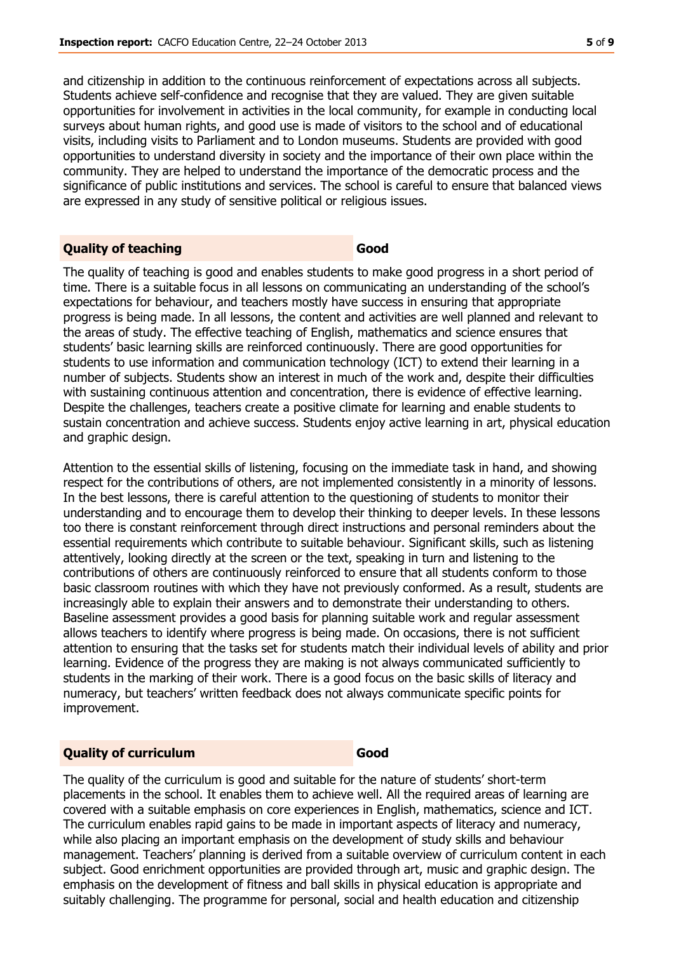and citizenship in addition to the continuous reinforcement of expectations across all subjects. Students achieve self-confidence and recognise that they are valued. They are given suitable opportunities for involvement in activities in the local community, for example in conducting local surveys about human rights, and good use is made of visitors to the school and of educational visits, including visits to Parliament and to London museums. Students are provided with good opportunities to understand diversity in society and the importance of their own place within the community. They are helped to understand the importance of the democratic process and the significance of public institutions and services. The school is careful to ensure that balanced views are expressed in any study of sensitive political or religious issues.

#### **Quality of teaching Good**

The quality of teaching is good and enables students to make good progress in a short period of time. There is a suitable focus in all lessons on communicating an understanding of the school's expectations for behaviour, and teachers mostly have success in ensuring that appropriate progress is being made. In all lessons, the content and activities are well planned and relevant to the areas of study. The effective teaching of English, mathematics and science ensures that students' basic learning skills are reinforced continuously. There are good opportunities for students to use information and communication technology (ICT) to extend their learning in a number of subjects. Students show an interest in much of the work and, despite their difficulties with sustaining continuous attention and concentration, there is evidence of effective learning. Despite the challenges, teachers create a positive climate for learning and enable students to sustain concentration and achieve success. Students enjoy active learning in art, physical education and graphic design.

Attention to the essential skills of listening, focusing on the immediate task in hand, and showing respect for the contributions of others, are not implemented consistently in a minority of lessons. In the best lessons, there is careful attention to the questioning of students to monitor their understanding and to encourage them to develop their thinking to deeper levels. In these lessons too there is constant reinforcement through direct instructions and personal reminders about the essential requirements which contribute to suitable behaviour. Significant skills, such as listening attentively, looking directly at the screen or the text, speaking in turn and listening to the contributions of others are continuously reinforced to ensure that all students conform to those basic classroom routines with which they have not previously conformed. As a result, students are increasingly able to explain their answers and to demonstrate their understanding to others. Baseline assessment provides a good basis for planning suitable work and regular assessment allows teachers to identify where progress is being made. On occasions, there is not sufficient attention to ensuring that the tasks set for students match their individual levels of ability and prior learning. Evidence of the progress they are making is not always communicated sufficiently to students in the marking of their work. There is a good focus on the basic skills of literacy and numeracy, but teachers' written feedback does not always communicate specific points for improvement.

#### **Quality of curriculum Good**

The quality of the curriculum is good and suitable for the nature of students' short-term placements in the school. It enables them to achieve well. All the required areas of learning are covered with a suitable emphasis on core experiences in English, mathematics, science and ICT. The curriculum enables rapid gains to be made in important aspects of literacy and numeracy, while also placing an important emphasis on the development of study skills and behaviour management. Teachers' planning is derived from a suitable overview of curriculum content in each subject. Good enrichment opportunities are provided through art, music and graphic design. The emphasis on the development of fitness and ball skills in physical education is appropriate and suitably challenging. The programme for personal, social and health education and citizenship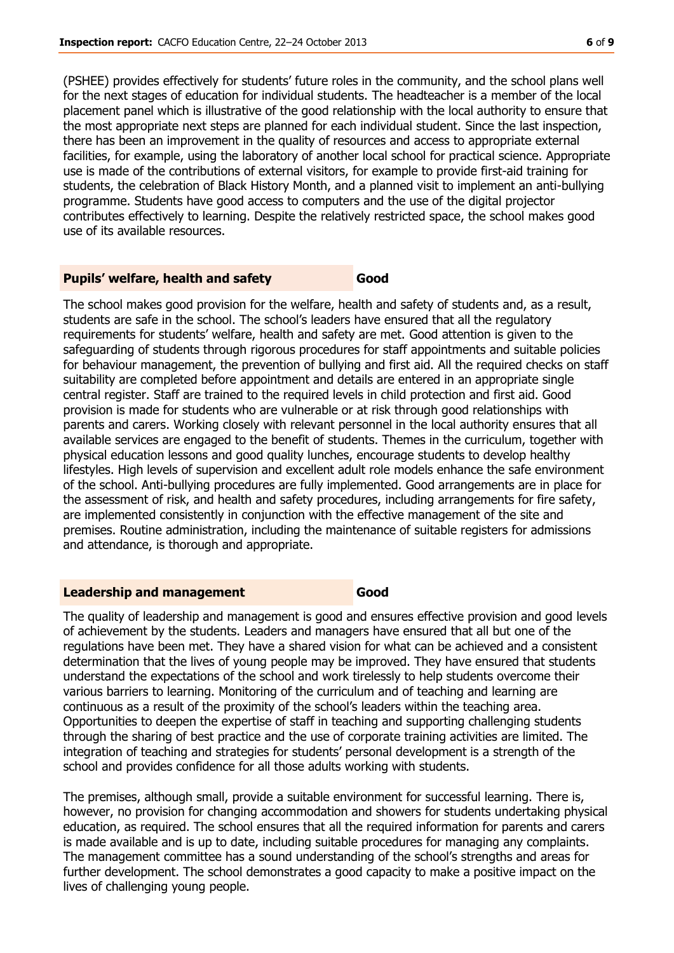(PSHEE) provides effectively for students' future roles in the community, and the school plans well for the next stages of education for individual students. The headteacher is a member of the local placement panel which is illustrative of the good relationship with the local authority to ensure that the most appropriate next steps are planned for each individual student. Since the last inspection, there has been an improvement in the quality of resources and access to appropriate external facilities, for example, using the laboratory of another local school for practical science. Appropriate use is made of the contributions of external visitors, for example to provide first-aid training for students, the celebration of Black History Month, and a planned visit to implement an anti-bullying programme. Students have good access to computers and the use of the digital projector contributes effectively to learning. Despite the relatively restricted space, the school makes good use of its available resources.

### **Pupils' welfare, health and safety Good**

The school makes good provision for the welfare, health and safety of students and, as a result, students are safe in the school. The school's leaders have ensured that all the regulatory requirements for students' welfare, health and safety are met. Good attention is given to the safeguarding of students through rigorous procedures for staff appointments and suitable policies for behaviour management, the prevention of bullying and first aid. All the required checks on staff suitability are completed before appointment and details are entered in an appropriate single central register. Staff are trained to the required levels in child protection and first aid. Good provision is made for students who are vulnerable or at risk through good relationships with parents and carers. Working closely with relevant personnel in the local authority ensures that all available services are engaged to the benefit of students. Themes in the curriculum, together with physical education lessons and good quality lunches, encourage students to develop healthy lifestyles. High levels of supervision and excellent adult role models enhance the safe environment of the school. Anti-bullying procedures are fully implemented. Good arrangements are in place for the assessment of risk, and health and safety procedures, including arrangements for fire safety, are implemented consistently in conjunction with the effective management of the site and premises. Routine administration, including the maintenance of suitable registers for admissions and attendance, is thorough and appropriate.

#### **Leadership and management Good**

The quality of leadership and management is good and ensures effective provision and good levels of achievement by the students. Leaders and managers have ensured that all but one of the regulations have been met. They have a shared vision for what can be achieved and a consistent determination that the lives of young people may be improved. They have ensured that students understand the expectations of the school and work tirelessly to help students overcome their various barriers to learning. Monitoring of the curriculum and of teaching and learning are continuous as a result of the proximity of the school's leaders within the teaching area. Opportunities to deepen the expertise of staff in teaching and supporting challenging students through the sharing of best practice and the use of corporate training activities are limited. The integration of teaching and strategies for students' personal development is a strength of the school and provides confidence for all those adults working with students.

The premises, although small, provide a suitable environment for successful learning. There is, however, no provision for changing accommodation and showers for students undertaking physical education, as required. The school ensures that all the required information for parents and carers is made available and is up to date, including suitable procedures for managing any complaints. The management committee has a sound understanding of the school's strengths and areas for further development. The school demonstrates a good capacity to make a positive impact on the lives of challenging young people.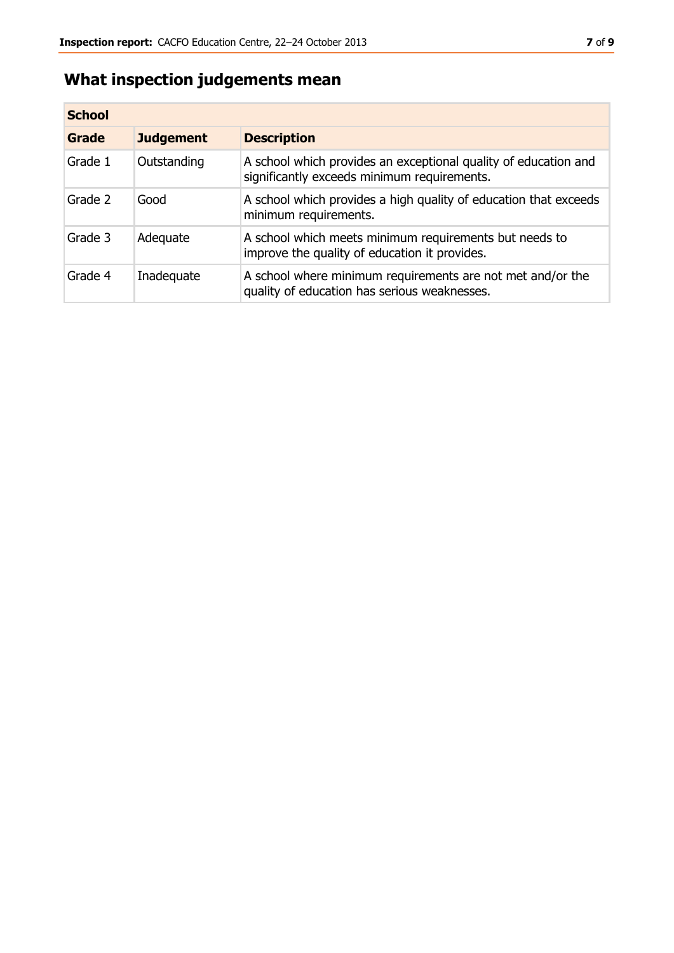# **What inspection judgements mean**

| <b>School</b> |                  |                                                                                                                |
|---------------|------------------|----------------------------------------------------------------------------------------------------------------|
| Grade         | <b>Judgement</b> | <b>Description</b>                                                                                             |
| Grade 1       | Outstanding      | A school which provides an exceptional quality of education and<br>significantly exceeds minimum requirements. |
| Grade 2       | Good             | A school which provides a high quality of education that exceeds<br>minimum requirements.                      |
| Grade 3       | Adequate         | A school which meets minimum requirements but needs to<br>improve the quality of education it provides.        |
| Grade 4       | Inadequate       | A school where minimum requirements are not met and/or the<br>quality of education has serious weaknesses.     |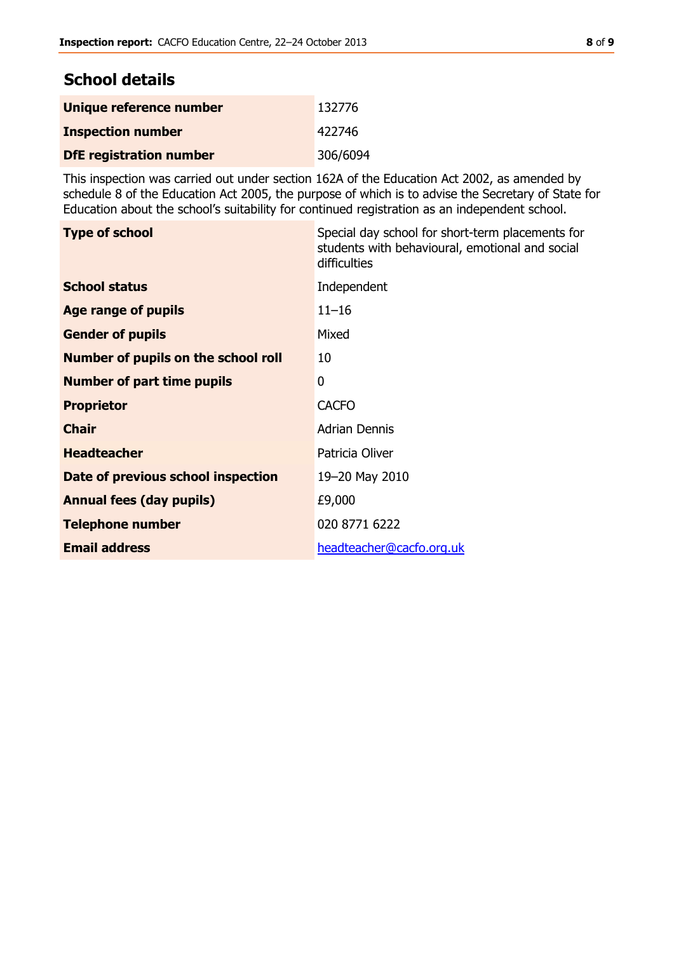# **School details**

| Unique reference number        | 132776   |
|--------------------------------|----------|
| <b>Inspection number</b>       | 422746   |
| <b>DfE registration number</b> | 306/6094 |

This inspection was carried out under section 162A of the Education Act 2002, as amended by schedule 8 of the Education Act 2005, the purpose of which is to advise the Secretary of State for Education about the school's suitability for continued registration as an independent school.

| <b>Type of school</b>                      | Special day school for short-term placements for<br>students with behavioural, emotional and social<br>difficulties |
|--------------------------------------------|---------------------------------------------------------------------------------------------------------------------|
| <b>School status</b>                       | Independent                                                                                                         |
| Age range of pupils                        | $11 - 16$                                                                                                           |
| <b>Gender of pupils</b>                    | Mixed                                                                                                               |
| <b>Number of pupils on the school roll</b> | 10                                                                                                                  |
| <b>Number of part time pupils</b>          | 0                                                                                                                   |
| <b>Proprietor</b>                          | <b>CACFO</b>                                                                                                        |
| <b>Chair</b>                               | <b>Adrian Dennis</b>                                                                                                |
| <b>Headteacher</b>                         | Patricia Oliver                                                                                                     |
| Date of previous school inspection         | 19-20 May 2010                                                                                                      |
| <b>Annual fees (day pupils)</b>            | £9,000                                                                                                              |
| <b>Telephone number</b>                    | 020 8771 6222                                                                                                       |
| <b>Email address</b>                       | headteacher@cacfo.org.uk                                                                                            |